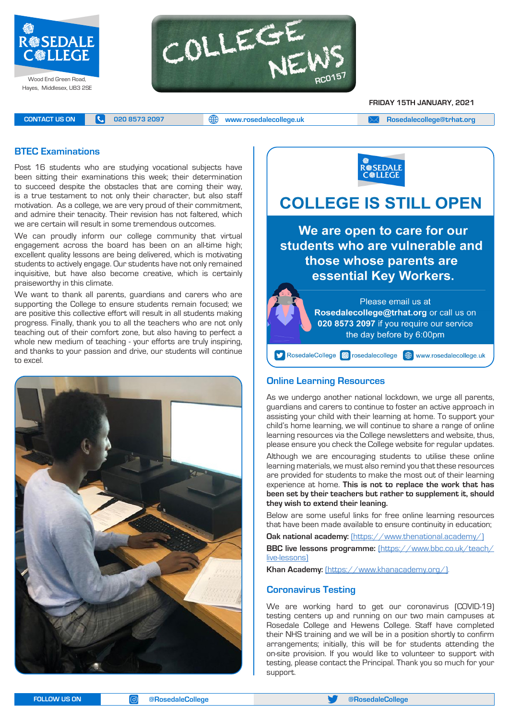



**FRIDAY 15TH JANUARY, 2021**

**CONTACT US ON <b>C** 020 8573 2097 **C** 020 8573 2097 **CONTACT US ON EXAM Rosedalecollege@trhat.org** 

# **BTEC Examinations**

Post 16 students who are studying vocational subjects have been sitting their examinations this week; their determination to succeed despite the obstacles that are coming their way, is a true testament to not only their character, but also staff motivation. As a college, we are very proud of their commitment, and admire their tenacity. Their revision has not faltered, which we are certain will result in some tremendous outcomes.

We can proudly inform our college community that virtual engagement across the board has been on an all-time high; excellent quality lessons are being delivered, which is motivating students to actively engage. Our students have not only remained inquisitive, but have also become creative, which is certainly praiseworthy in this climate.

We want to thank all parents, guardians and carers who are supporting the College to ensure students remain focused; we are positive this collective effort will result in all students making progress. Finally, thank you to all the teachers who are not only teaching out of their comfort zone, but also having to perfect a whole new medium of teaching - your efforts are truly inspiring, and thanks to your passion and drive, our students will continue to excel.





# **COLLEGE IS STILL OPEN**

We are open to care for our students who are vulnerable and those whose parents are essential Key Workers.



# **Online Learning Resources**

As we undergo another national lockdown, we urge all parents, guardians and carers to continue to foster an active approach in assisting your child with their learning at home. To support your child's home learning, we will continue to share a range of online learning resources via the College newsletters and website, thus, please ensure you check the College website for regular updates.

Although we are encouraging students to utilise these online learning materials, we must also remind you that these resources are provided for students to make the most out of their learning experience at home. **This is not to replace the work that has been set by their teachers but rather to supplement it, should they wish to extend their leaning.**

Below are some useful links for free online learning resources that have been made available to ensure continuity in education;

**Oak national academy:** (https://www.thenational.academy/)

**BBC live lessons programme:** (https://www.bbc.co.uk/teach/ live-lessons)

**Khan Academy:** (https://www.khanacademy.org/).

## **Coronavirus Testing**

We are working hard to get our coronavirus (COVID-19) testing centers up and running on our two main campuses at Rosedale College and Hewens College. Staff have completed their NHS training and we will be in a position shortly to confirm arrangements; initially, this will be for students attending the on-site provision. If you would like to volunteer to support with testing, please contact the Principal. Thank you so much for your support.